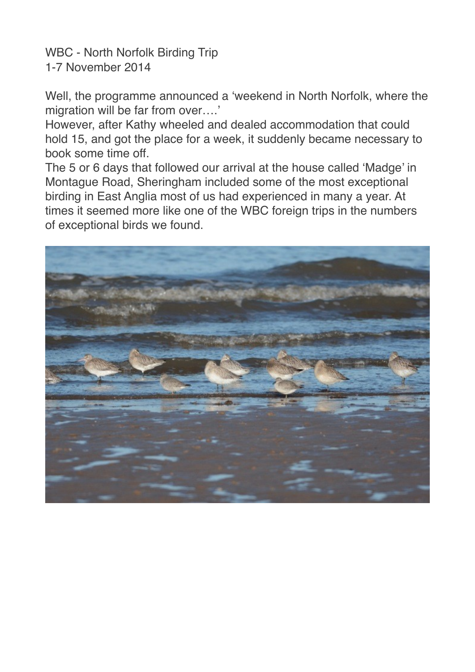WBC - North Norfolk Birding Trip 1-7 November 2014

Well, the programme announced a 'weekend in North Norfolk, where the migration will be far from over….'

However, after Kathy wheeled and dealed accommodation that could hold 15, and got the place for a week, it suddenly became necessary to book some time off.

The 5 or 6 days that followed our arrival at the house called 'Madge' in Montague Road, Sheringham included some of the most exceptional birding in East Anglia most of us had experienced in many a year. At times it seemed more like one of the WBC foreign trips in the numbers of exceptional birds we found.

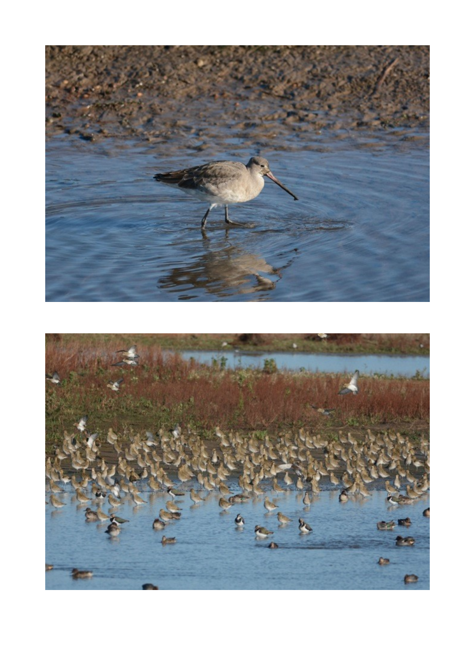

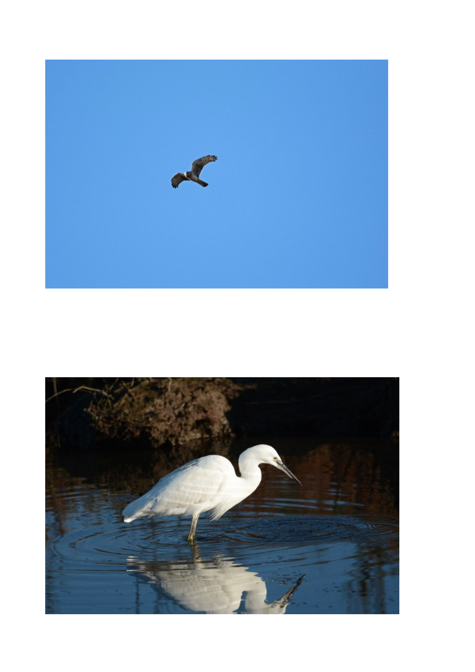

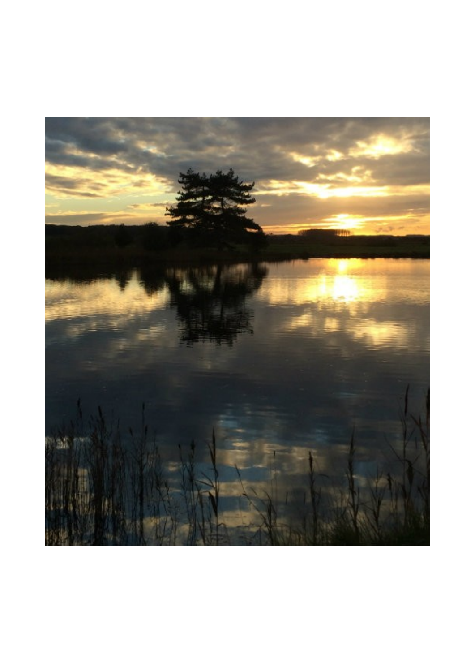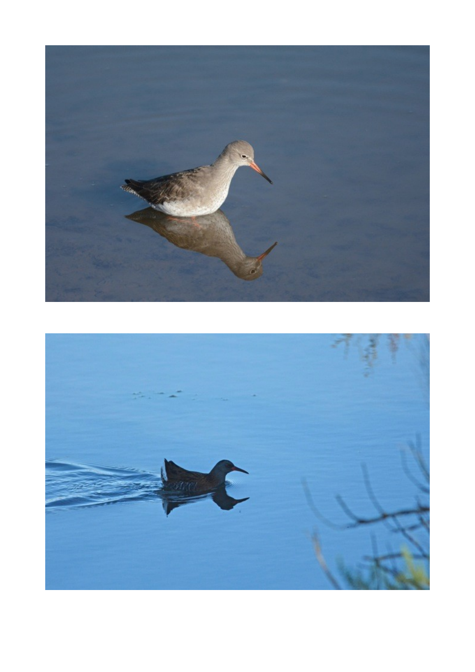

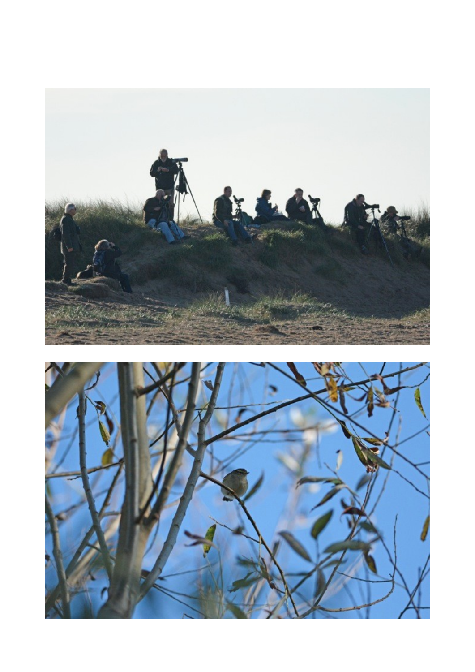

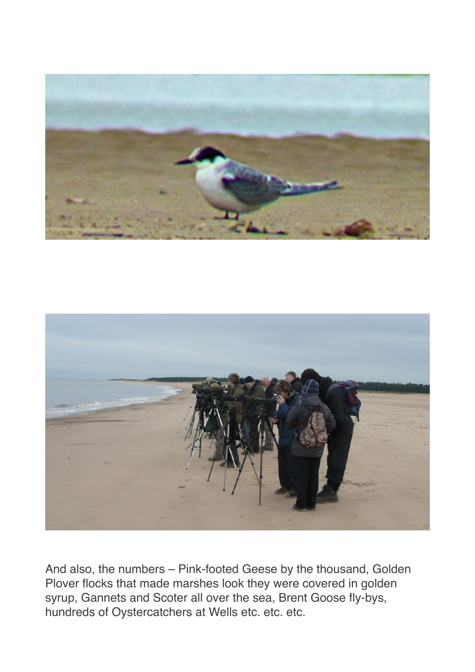



And also, the numbers – Pink-footed Geese by the thousand, Golden Plover flocks that made marshes look they were covered in golden syrup, Gannets and Scoter all over the sea, Brent Goose fly-bys, hundreds of Oystercatchers at Wells etc. etc. etc.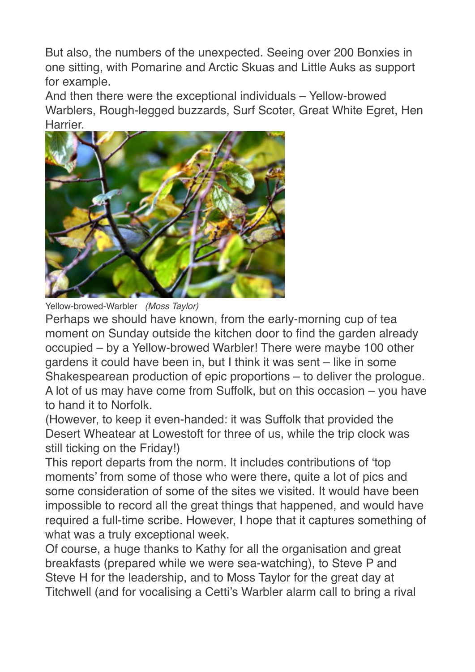But also, the numbers of the unexpected. Seeing over 200 Bonxies in one sitting, with Pomarine and Arctic Skuas and Little Auks as support for example.

And then there were the exceptional individuals – Yellow-browed Warblers, Rough-legged buzzards, Surf Scoter, Great White Egret, Hen Harrier.



Yellow-browed-Warbler *(Moss Taylor)*

Perhaps we should have known, from the early-morning cup of tea moment on Sunday outside the kitchen door to find the garden already occupied – by a Yellow-browed Warbler! There were maybe 100 other gardens it could have been in, but I think it was sent – like in some Shakespearean production of epic proportions – to deliver the prologue. A lot of us may have come from Suffolk, but on this occasion – you have to hand it to Norfolk.

(However, to keep it even-handed: it was Suffolk that provided the Desert Wheatear at Lowestoft for three of us, while the trip clock was still ticking on the Friday!)

This report departs from the norm. It includes contributions of 'top moments' from some of those who were there, quite a lot of pics and some consideration of some of the sites we visited. It would have been impossible to record all the great things that happened, and would have required a full-time scribe. However, I hope that it captures something of what was a truly exceptional week.

Of course, a huge thanks to Kathy for all the organisation and great breakfasts (prepared while we were sea-watching), to Steve P and Steve H for the leadership, and to Moss Taylor for the great day at Titchwell (and for vocalising a Cetti's Warbler alarm call to bring a rival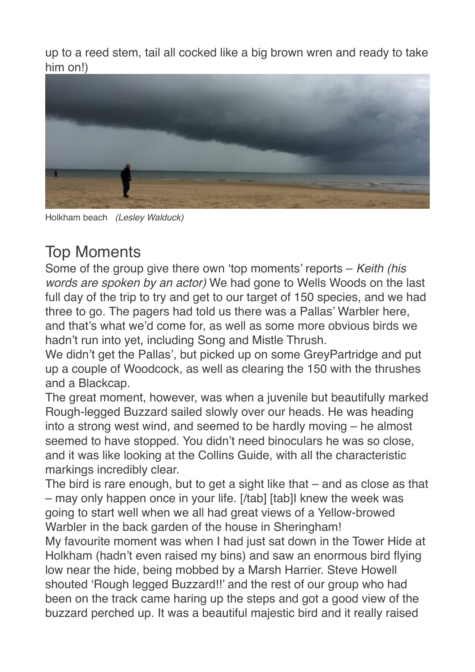up to a reed stem, tail all cocked like a big brown wren and ready to take him on!)



Holkham beach *(Lesley Walduck)*

## Top Moments

Some of the group give there own 'top moments' reports – *Keith (his words are spoken by an actor)* We had gone to Wells Woods on the last full day of the trip to try and get to our target of 150 species, and we had three to go. The pagers had told us there was a Pallas' Warbler here, and that's what we'd come for, as well as some more obvious birds we hadn't run into yet, including Song and Mistle Thrush.

We didn't get the Pallas', but picked up on some GreyPartridge and put up a couple of Woodcock, as well as clearing the 150 with the thrushes and a Blackcap.

The great moment, however, was when a juvenile but beautifully marked Rough-legged Buzzard sailed slowly over our heads. He was heading into a strong west wind, and seemed to be hardly moving – he almost seemed to have stopped. You didn't need binoculars he was so close, and it was like looking at the Collins Guide, with all the characteristic markings incredibly clear.

The bird is rare enough, but to get a sight like that – and as close as that – may only happen once in your life. [/tab] [tab]I knew the week was going to start well when we all had great views of a Yellow-browed Warbler in the back garden of the house in Sheringham!

My favourite moment was when I had just sat down in the Tower Hide at Holkham (hadn't even raised my bins) and saw an enormous bird flying low near the hide, being mobbed by a Marsh Harrier. Steve Howell shouted 'Rough legged Buzzard!!' and the rest of our group who had been on the track came haring up the steps and got a good view of the buzzard perched up. It was a beautiful majestic bird and it really raised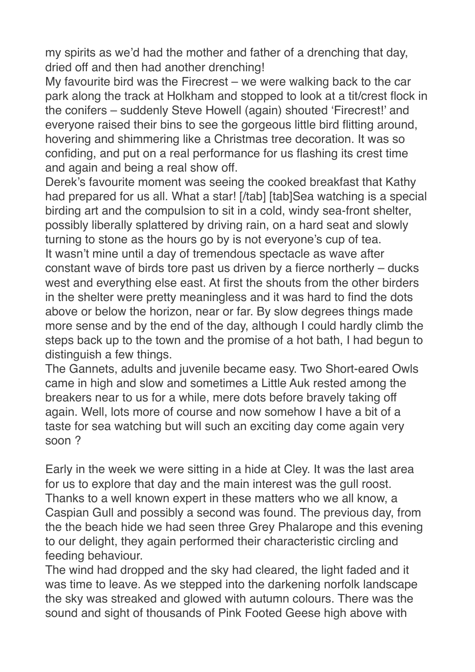my spirits as we'd had the mother and father of a drenching that day, dried off and then had another drenching!

My favourite bird was the Firecrest – we were walking back to the car park along the track at Holkham and stopped to look at a tit/crest flock in the conifers – suddenly Steve Howell (again) shouted 'Firecrest!' and everyone raised their bins to see the gorgeous little bird flitting around, hovering and shimmering like a Christmas tree decoration. It was so confiding, and put on a real performance for us flashing its crest time and again and being a real show off.

Derek's favourite moment was seeing the cooked breakfast that Kathy had prepared for us all. What a star! [/tab] [tab]Sea watching is a special birding art and the compulsion to sit in a cold, windy sea-front shelter, possibly liberally splattered by driving rain, on a hard seat and slowly turning to stone as the hours go by is not everyone's cup of tea. It wasn't mine until a day of tremendous spectacle as wave after constant wave of birds tore past us driven by a fierce northerly – ducks west and everything else east. At first the shouts from the other birders in the shelter were pretty meaningless and it was hard to find the dots above or below the horizon, near or far. By slow degrees things made more sense and by the end of the day, although I could hardly climb the steps back up to the town and the promise of a hot bath, I had begun to distinguish a few things.

The Gannets, adults and juvenile became easy. Two Short-eared Owls came in high and slow and sometimes a Little Auk rested among the breakers near to us for a while, mere dots before bravely taking off again. Well, lots more of course and now somehow I have a bit of a taste for sea watching but will such an exciting day come again very soon ?

Early in the week we were sitting in a hide at Cley. It was the last area for us to explore that day and the main interest was the gull roost. Thanks to a well known expert in these matters who we all know, a Caspian Gull and possibly a second was found. The previous day, from the the beach hide we had seen three Grey Phalarope and this evening to our delight, they again performed their characteristic circling and feeding behaviour.

The wind had dropped and the sky had cleared, the light faded and it was time to leave. As we stepped into the darkening norfolk landscape the sky was streaked and glowed with autumn colours. There was the sound and sight of thousands of Pink Footed Geese high above with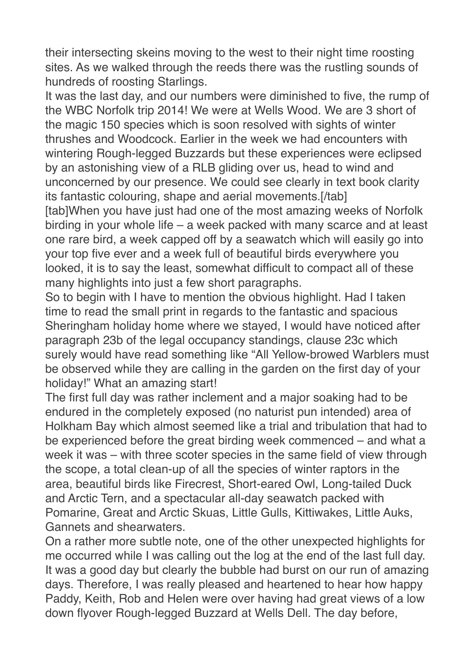their intersecting skeins moving to the west to their night time roosting sites. As we walked through the reeds there was the rustling sounds of hundreds of roosting Starlings.

It was the last day, and our numbers were diminished to five, the rump of the WBC Norfolk trip 2014! We were at Wells Wood. We are 3 short of the magic 150 species which is soon resolved with sights of winter thrushes and Woodcock. Earlier in the week we had encounters with wintering Rough-legged Buzzards but these experiences were eclipsed by an astonishing view of a RLB gliding over us, head to wind and unconcerned by our presence. We could see clearly in text book clarity its fantastic colouring, shape and aerial movements.[/tab]

[tab]When you have just had one of the most amazing weeks of Norfolk birding in your whole life – a week packed with many scarce and at least one rare bird, a week capped off by a seawatch which will easily go into your top five ever and a week full of beautiful birds everywhere you looked, it is to say the least, somewhat difficult to compact all of these many highlights into just a few short paragraphs.

So to begin with I have to mention the obvious highlight. Had I taken time to read the small print in regards to the fantastic and spacious Sheringham holiday home where we stayed, I would have noticed after paragraph 23b of the legal occupancy standings, clause 23c which surely would have read something like "All Yellow-browed Warblers must be observed while they are calling in the garden on the first day of your holiday!" What an amazing start!

The first full day was rather inclement and a major soaking had to be endured in the completely exposed (no naturist pun intended) area of Holkham Bay which almost seemed like a trial and tribulation that had to be experienced before the great birding week commenced – and what a week it was – with three scoter species in the same field of view through the scope, a total clean-up of all the species of winter raptors in the area, beautiful birds like Firecrest, Short-eared Owl, Long-tailed Duck and Arctic Tern, and a spectacular all-day seawatch packed with Pomarine, Great and Arctic Skuas, Little Gulls, Kittiwakes, Little Auks, Gannets and shearwaters.

On a rather more subtle note, one of the other unexpected highlights for me occurred while I was calling out the log at the end of the last full day. It was a good day but clearly the bubble had burst on our run of amazing days. Therefore, I was really pleased and heartened to hear how happy Paddy, Keith, Rob and Helen were over having had great views of a low down flyover Rough-legged Buzzard at Wells Dell. The day before,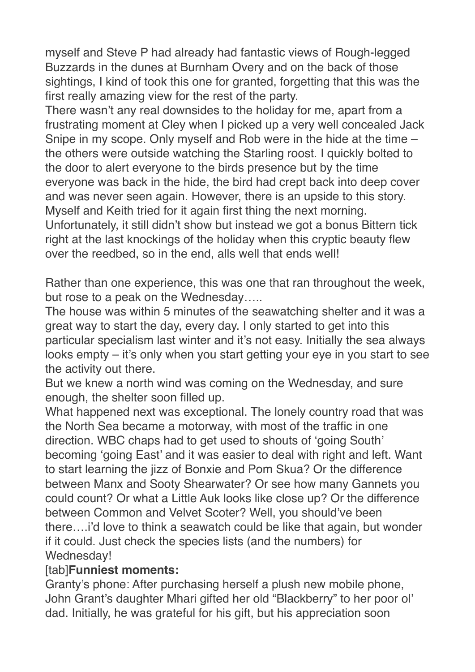myself and Steve P had already had fantastic views of Rough-legged Buzzards in the dunes at Burnham Overy and on the back of those sightings, I kind of took this one for granted, forgetting that this was the first really amazing view for the rest of the party.

There wasn't any real downsides to the holiday for me, apart from a frustrating moment at Cley when I picked up a very well concealed Jack Snipe in my scope. Only myself and Rob were in the hide at the time – the others were outside watching the Starling roost. I quickly bolted to the door to alert everyone to the birds presence but by the time everyone was back in the hide, the bird had crept back into deep cover and was never seen again. However, there is an upside to this story. Myself and Keith tried for it again first thing the next morning. Unfortunately, it still didn't show but instead we got a bonus Bittern tick right at the last knockings of the holiday when this cryptic beauty flew over the reedbed, so in the end, alls well that ends well!

Rather than one experience, this was one that ran throughout the week, but rose to a peak on the Wednesday…..

The house was within 5 minutes of the seawatching shelter and it was a great way to start the day, every day. I only started to get into this particular specialism last winter and it's not easy. Initially the sea always looks empty – it's only when you start getting your eye in you start to see the activity out there.

But we knew a north wind was coming on the Wednesday, and sure enough, the shelter soon filled up.

What happened next was exceptional. The lonely country road that was the North Sea became a motorway, with most of the traffic in one direction. WBC chaps had to get used to shouts of 'going South' becoming 'going East' and it was easier to deal with right and left. Want to start learning the jizz of Bonxie and Pom Skua? Or the difference between Manx and Sooty Shearwater? Or see how many Gannets you could count? Or what a Little Auk looks like close up? Or the difference between Common and Velvet Scoter? Well, you should've been there….i'd love to think a seawatch could be like that again, but wonder if it could. Just check the species lists (and the numbers) for Wednesday!

## [tab]**Funniest moments:**

Granty's phone: After purchasing herself a plush new mobile phone, John Grant's daughter Mhari gifted her old "Blackberry" to her poor ol' dad. Initially, he was grateful for his gift, but his appreciation soon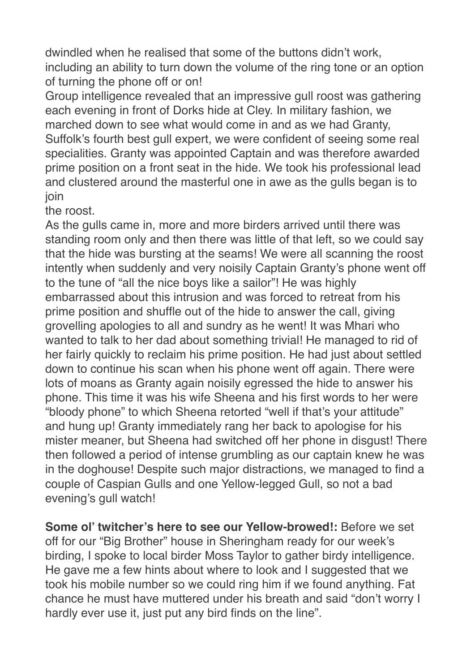dwindled when he realised that some of the buttons didn't work, including an ability to turn down the volume of the ring tone or an option of turning the phone off or on!

Group intelligence revealed that an impressive gull roost was gathering each evening in front of Dorks hide at Cley. In military fashion, we marched down to see what would come in and as we had Granty, Suffolk's fourth best gull expert, we were confident of seeing some real specialities. Granty was appointed Captain and was therefore awarded prime position on a front seat in the hide. We took his professional lead and clustered around the masterful one in awe as the gulls began is to join

the roost.

As the gulls came in, more and more birders arrived until there was standing room only and then there was little of that left, so we could say that the hide was bursting at the seams! We were all scanning the roost intently when suddenly and very noisily Captain Granty's phone went off to the tune of "all the nice boys like a sailor"! He was highly embarrassed about this intrusion and was forced to retreat from his prime position and shuffle out of the hide to answer the call, giving grovelling apologies to all and sundry as he went! It was Mhari who wanted to talk to her dad about something trivial! He managed to rid of her fairly quickly to reclaim his prime position. He had just about settled down to continue his scan when his phone went off again. There were lots of moans as Granty again noisily egressed the hide to answer his phone. This time it was his wife Sheena and his first words to her were "bloody phone" to which Sheena retorted "well if that's your attitude" and hung up! Granty immediately rang her back to apologise for his mister meaner, but Sheena had switched off her phone in disgust! There then followed a period of intense grumbling as our captain knew he was in the doghouse! Despite such major distractions, we managed to find a couple of Caspian Gulls and one Yellow-legged Gull, so not a bad evening's gull watch!

**Some ol' twitcher's here to see our Yellow-browed!:** Before we set off for our "Big Brother" house in Sheringham ready for our week's birding, I spoke to local birder Moss Taylor to gather birdy intelligence. He gave me a few hints about where to look and I suggested that we took his mobile number so we could ring him if we found anything. Fat chance he must have muttered under his breath and said "don't worry I hardly ever use it, just put any bird finds on the line".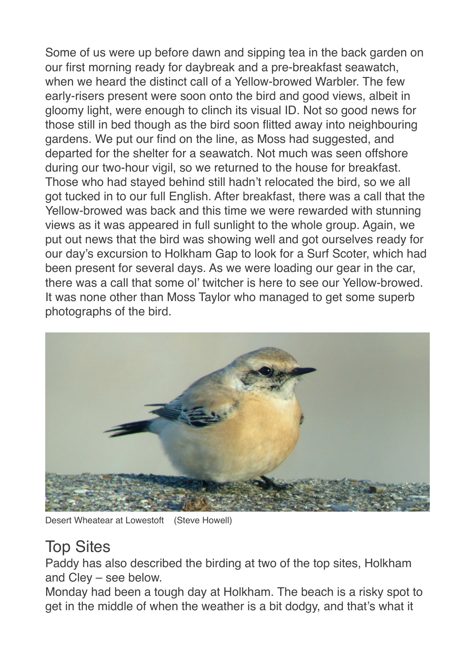Some of us were up before dawn and sipping tea in the back garden on our first morning ready for daybreak and a pre-breakfast seawatch, when we heard the distinct call of a Yellow-browed Warbler. The few early-risers present were soon onto the bird and good views, albeit in gloomy light, were enough to clinch its visual ID. Not so good news for those still in bed though as the bird soon flitted away into neighbouring gardens. We put our find on the line, as Moss had suggested, and departed for the shelter for a seawatch. Not much was seen offshore during our two-hour vigil, so we returned to the house for breakfast. Those who had stayed behind still hadn't relocated the bird, so we all got tucked in to our full English. After breakfast, there was a call that the Yellow-browed was back and this time we were rewarded with stunning views as it was appeared in full sunlight to the whole group. Again, we put out news that the bird was showing well and got ourselves ready for our day's excursion to Holkham Gap to look for a Surf Scoter, which had been present for several days. As we were loading our gear in the car, there was a call that some ol' twitcher is here to see our Yellow-browed. It was none other than Moss Taylor who managed to get some superb photographs of the bird.



Desert Wheatear at Lowestoft (Steve Howell)

## Top Sites

Paddy has also described the birding at two of the top sites, Holkham and Cley – see below.

Monday had been a tough day at Holkham. The beach is a risky spot to get in the middle of when the weather is a bit dodgy, and that's what it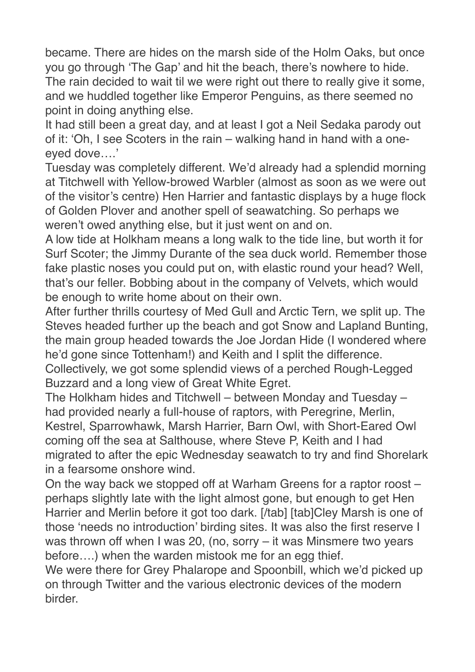became. There are hides on the marsh side of the Holm Oaks, but once you go through 'The Gap' and hit the beach, there's nowhere to hide. The rain decided to wait til we were right out there to really give it some, and we huddled together like Emperor Penguins, as there seemed no point in doing anything else.

It had still been a great day, and at least I got a Neil Sedaka parody out of it: 'Oh, I see Scoters in the rain – walking hand in hand with a oneeyed dove….'

Tuesday was completely different. We'd already had a splendid morning at Titchwell with Yellow-browed Warbler (almost as soon as we were out of the visitor's centre) Hen Harrier and fantastic displays by a huge flock of Golden Plover and another spell of seawatching. So perhaps we weren't owed anything else, but it just went on and on.

A low tide at Holkham means a long walk to the tide line, but worth it for Surf Scoter; the Jimmy Durante of the sea duck world. Remember those fake plastic noses you could put on, with elastic round your head? Well, that's our feller. Bobbing about in the company of Velvets, which would be enough to write home about on their own.

After further thrills courtesy of Med Gull and Arctic Tern, we split up. The Steves headed further up the beach and got Snow and Lapland Bunting, the main group headed towards the Joe Jordan Hide (I wondered where he'd gone since Tottenham!) and Keith and I split the difference. Collectively, we got some splendid views of a perched Rough-Legged Buzzard and a long view of Great White Egret.

The Holkham hides and Titchwell – between Monday and Tuesday – had provided nearly a full-house of raptors, with Peregrine, Merlin, Kestrel, Sparrowhawk, Marsh Harrier, Barn Owl, with Short-Eared Owl coming off the sea at Salthouse, where Steve P, Keith and I had migrated to after the epic Wednesday seawatch to try and find Shorelark in a fearsome onshore wind.

On the way back we stopped off at Warham Greens for a raptor roost – perhaps slightly late with the light almost gone, but enough to get Hen Harrier and Merlin before it got too dark. [/tab] [tab]Cley Marsh is one of those 'needs no introduction' birding sites. It was also the first reserve I was thrown off when I was 20, (no, sorry – it was Minsmere two years before….) when the warden mistook me for an egg thief.

We were there for Grey Phalarope and Spoonbill, which we'd picked up on through Twitter and the various electronic devices of the modern birder.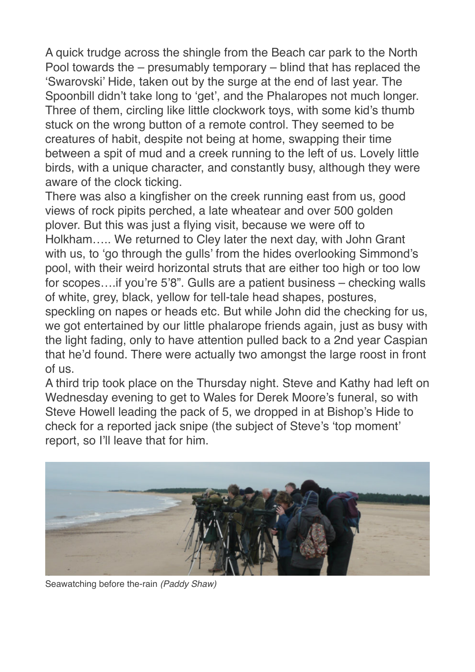A quick trudge across the shingle from the Beach car park to the North Pool towards the – presumably temporary – blind that has replaced the 'Swarovski' Hide, taken out by the surge at the end of last year. The Spoonbill didn't take long to 'get', and the Phalaropes not much longer. Three of them, circling like little clockwork toys, with some kid's thumb stuck on the wrong button of a remote control. They seemed to be creatures of habit, despite not being at home, swapping their time between a spit of mud and a creek running to the left of us. Lovely little birds, with a unique character, and constantly busy, although they were aware of the clock ticking.

There was also a kingfisher on the creek running east from us, good views of rock pipits perched, a late wheatear and over 500 golden plover. But this was just a flying visit, because we were off to Holkham….. We returned to Cley later the next day, with John Grant with us, to 'go through the gulls' from the hides overlooking Simmond's pool, with their weird horizontal struts that are either too high or too low for scopes….if you're 5'8". Gulls are a patient business – checking walls of white, grey, black, yellow for tell-tale head shapes, postures,

speckling on napes or heads etc. But while John did the checking for us, we got entertained by our little phalarope friends again, just as busy with the light fading, only to have attention pulled back to a 2nd year Caspian that he'd found. There were actually two amongst the large roost in front of us.

A third trip took place on the Thursday night. Steve and Kathy had left on Wednesday evening to get to Wales for Derek Moore's funeral, so with Steve Howell leading the pack of 5, we dropped in at Bishop's Hide to check for a reported jack snipe (the subject of Steve's 'top moment' report, so I'll leave that for him.



Seawatching before the-rain *(Paddy Shaw)*